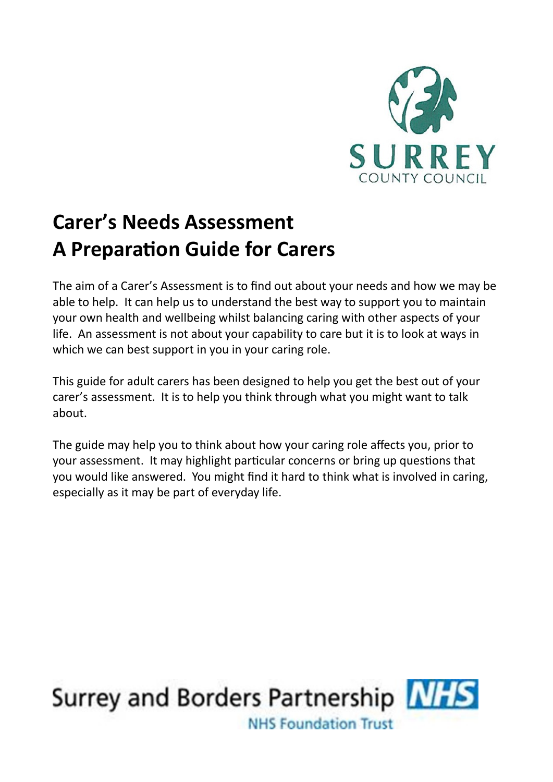

# **Carer's Needs Assessment A Preparation Guide for Carers**

The aim of a Carer's Assessment is to find out about your needs and how we may be able to help. It can help us to understand the best way to support you to maintain your own health and wellbeing whilst balancing caring with other aspects of your life. An assessment is not about your capability to care but it is to look at ways in which we can best support in you in your caring role.

This guide for adult carers has been designed to help you get the best out of your carer's assessment. It is to help you think through what you might want to talk about.

The guide may help you to think about how your caring role affects you, prior to your assessment. It may highlight particular concerns or bring up questions that you would like answered. You might find it hard to think what is involved in caring, especially as it may be part of everyday life.

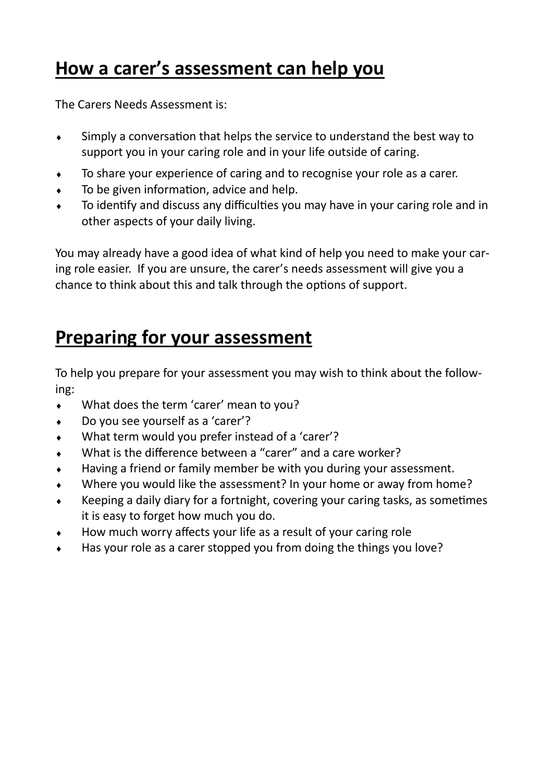## **How a carer's assessment can help you**

The Carers Needs Assessment is:

- Simply a conversation that helps the service to understand the best way to support you in your caring role and in your life outside of caring.
- To share your experience of caring and to recognise your role as a carer.
- To be given information, advice and help.
- To identify and discuss any difficulties you may have in your caring role and in other aspects of your daily living.

You may already have a good idea of what kind of help you need to make your caring role easier. If you are unsure, the carer's needs assessment will give you a chance to think about this and talk through the options of support.

## **Preparing for your assessment**

To help you prepare for your assessment you may wish to think about the following:

- What does the term 'carer' mean to you?
- Do you see yourself as a 'carer'?
- What term would you prefer instead of a 'carer'?
- What is the difference between a "carer" and a care worker?
- Having a friend or family member be with you during your assessment.
- Where you would like the assessment? In your home or away from home?
- Keeping a daily diary for a fortnight, covering your caring tasks, as sometimes it is easy to forget how much you do.
- How much worry affects your life as a result of your caring role
- Has your role as a carer stopped you from doing the things you love?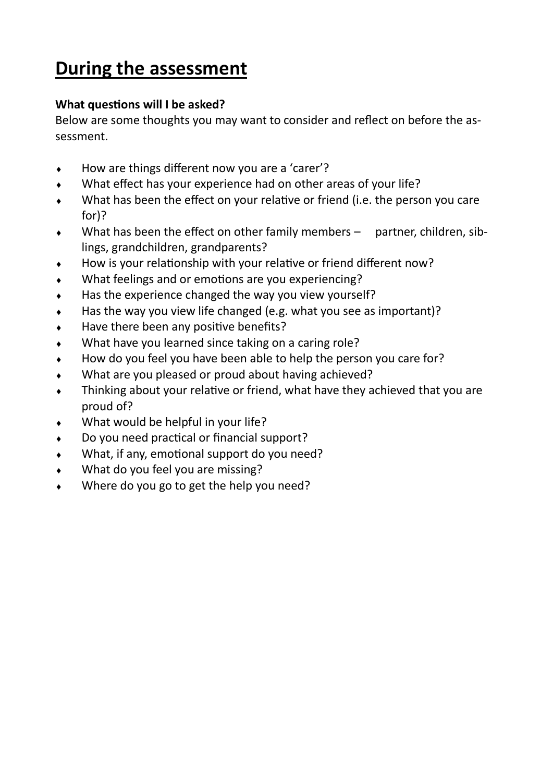# **During the assessment**

## **What questions will I be asked?**

Below are some thoughts you may want to consider and reflect on before the assessment.

- ◆ How are things different now you are a 'carer'?
- What effect has your experience had on other areas of your life?
- What has been the effect on your relative or friend (i.e. the person you care for)?
- What has been the effect on other family members partner, children, siblings, grandchildren, grandparents?
- How is your relationship with your relative or friend different now?
- What feelings and or emotions are you experiencing?
- Has the experience changed the way you view yourself?
- Has the way you view life changed (e.g. what you see as important)?
- Have there been any positive benefits?
- What have you learned since taking on a caring role?
- How do you feel you have been able to help the person you care for?
- What are you pleased or proud about having achieved?
- Thinking about your relative or friend, what have they achieved that you are proud of?
- What would be helpful in your life?
- Do you need practical or financial support?
- What, if any, emotional support do you need?
- What do you feel you are missing?
- Where do you go to get the help you need?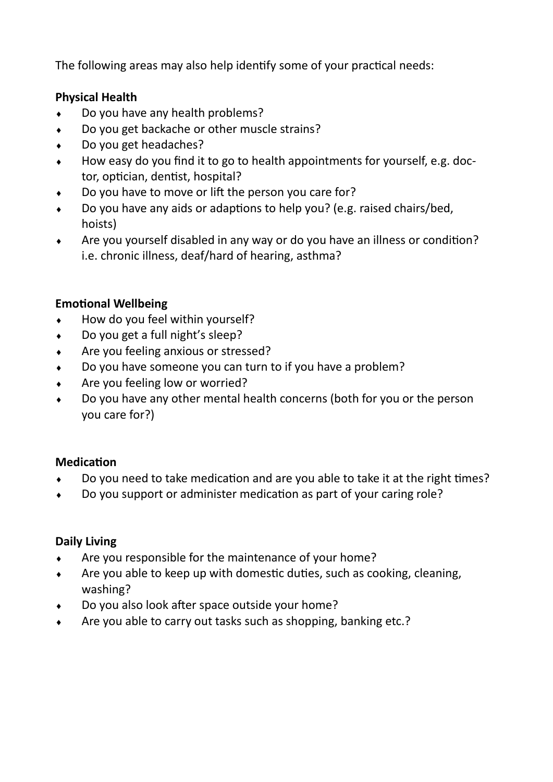The following areas may also help identify some of your practical needs:

## **Physical Health**

- Do you have any health problems?
- Do you get backache or other muscle strains?
- Do you get headaches?
- How easy do you find it to go to health appointments for yourself, e.g. doctor, optician, dentist, hospital?
- Do you have to move or lift the person you care for?
- Do you have any aids or adaptions to help you? (e.g. raised chairs/bed, hoists)
- Are you yourself disabled in any way or do you have an illness or condition? i.e. chronic illness, deaf/hard of hearing, asthma?

## **Emotional Wellbeing**

- $\bullet$  How do you feel within yourself?
- Do you get a full night's sleep?
- ◆ Are you feeling anxious or stressed?
- Do you have someone you can turn to if you have a problem?
- Are you feeling low or worried?
- Do you have any other mental health concerns (both for you or the person you care for?)

#### **Medication**

- Do you need to take medication and are you able to take it at the right times?
- Do you support or administer medication as part of your caring role?

#### **Daily Living**

- $\triangleleft$  Are you responsible for the maintenance of your home?
- Are you able to keep up with domestic duties, such as cooking, cleaning, washing?
- Do you also look after space outside your home?
- Are you able to carry out tasks such as shopping, banking etc.?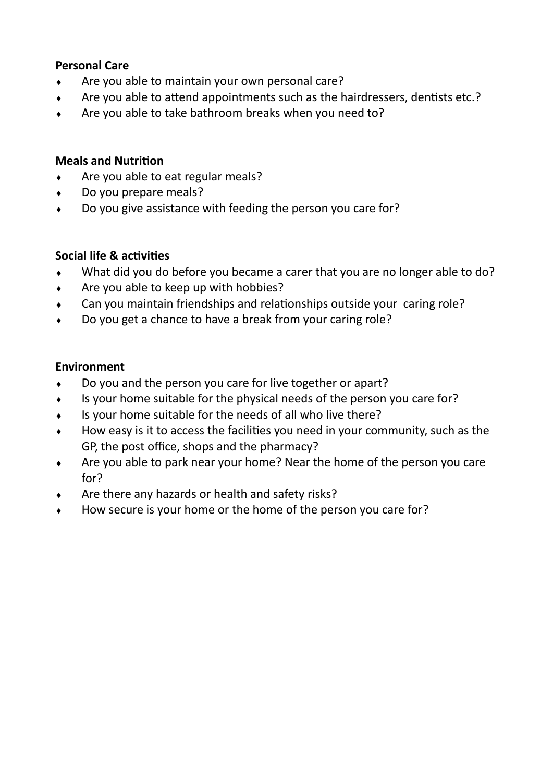#### **Personal Care**

- $\leftarrow$  Are you able to maintain your own personal care?
- Are you able to attend appointments such as the hairdressers, dentists etc.?
- Are you able to take bathroom breaks when you need to?

#### **Meals and Nutrition**

- Are you able to eat regular meals?
- ◆ Do you prepare meals?
- Do you give assistance with feeding the person you care for?

#### **Social life & activities**

- What did you do before you became a carer that you are no longer able to do?
- $\leftrightarrow$  Are you able to keep up with hobbies?
- Can you maintain friendships and relationships outside your caring role?
- ◆ Do you get a chance to have a break from your caring role?

#### **Environment**

- Do you and the person you care for live together or apart?
- Is your home suitable for the physical needs of the person you care for?
- Is your home suitable for the needs of all who live there?
- How easy is it to access the facilities you need in your community, such as the GP, the post office, shops and the pharmacy?
- Are you able to park near your home? Near the home of the person you care for?
- Are there any hazards or health and safety risks?
- How secure is your home or the home of the person you care for?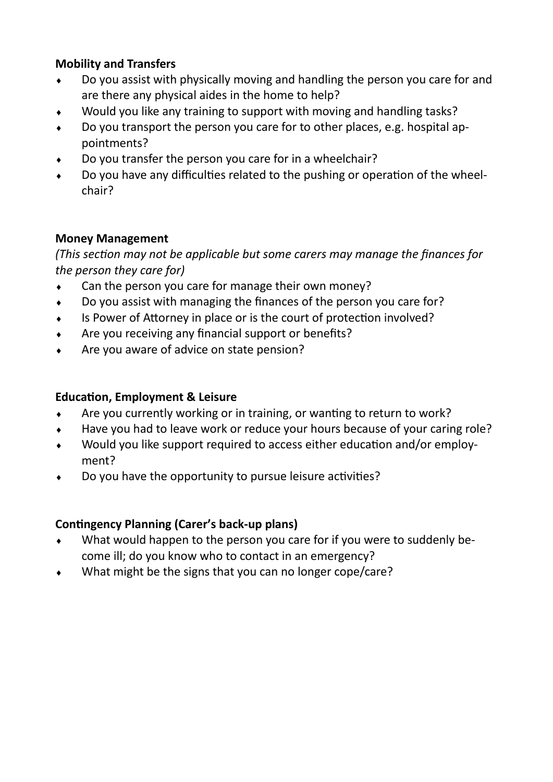## **Mobility and Transfers**

- Do you assist with physically moving and handling the person you care for and are there any physical aides in the home to help?
- Would you like any training to support with moving and handling tasks?
- Do you transport the person you care for to other places, e.g. hospital appointments?
- Do you transfer the person you care for in a wheelchair?
- Do you have any difficulties related to the pushing or operation of the wheelchair?

## **Money Management**

*(This section may not be applicable but some carers may manage the finances for the person they care for)*

- Can the person you care for manage their own money?
- Do you assist with managing the finances of the person you care for?
- Is Power of Attorney in place or is the court of protection involved?
- Are you receiving any financial support or benefits?
- Are you aware of advice on state pension?

## **Education, Employment & Leisure**

- Are you currently working or in training, or wanting to return to work?
- Have you had to leave work or reduce your hours because of your caring role?
- Would you like support required to access either education and/or employment?
- Do you have the opportunity to pursue leisure activities?

## **Contingency Planning (Carer's back-up plans)**

- What would happen to the person you care for if you were to suddenly become ill; do you know who to contact in an emergency?
- What might be the signs that you can no longer cope/care?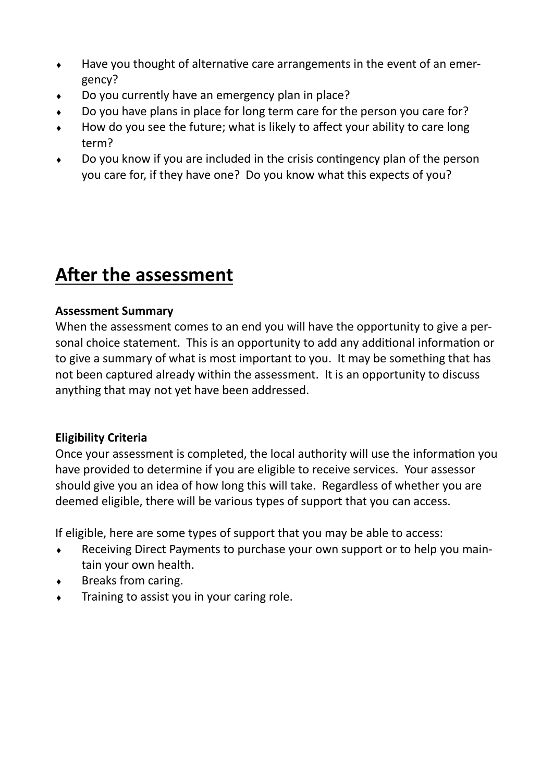- Have you thought of alternative care arrangements in the event of an emergency?
- Do you currently have an emergency plan in place?
- Do you have plans in place for long term care for the person you care for?
- How do you see the future; what is likely to affect your ability to care long term?
- Do you know if you are included in the crisis contingency plan of the person you care for, if they have one? Do you know what this expects of you?

# **After the assessment**

#### **Assessment Summary**

When the assessment comes to an end you will have the opportunity to give a personal choice statement. This is an opportunity to add any additional information or to give a summary of what is most important to you. It may be something that has not been captured already within the assessment. It is an opportunity to discuss anything that may not yet have been addressed.

## **Eligibility Criteria**

Once your assessment is completed, the local authority will use the information you have provided to determine if you are eligible to receive services. Your assessor should give you an idea of how long this will take. Regardless of whether you are deemed eligible, there will be various types of support that you can access.

If eligible, here are some types of support that you may be able to access:

- Receiving Direct Payments to purchase your own support or to help you maintain your own health.
- ◆ Breaks from caring.
- Training to assist you in your caring role.